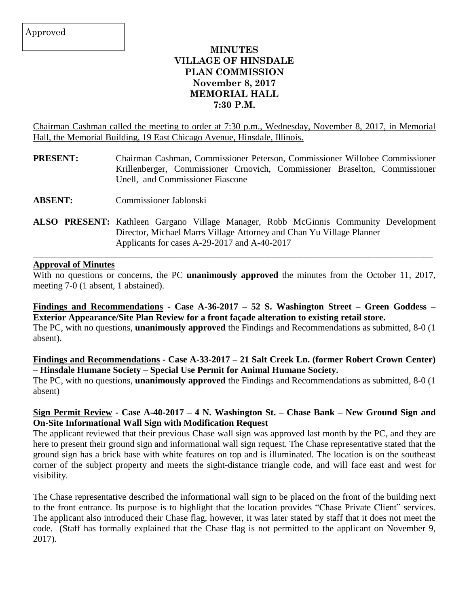## **MINUTES VILLAGE OF HINSDALE PLAN COMMISSION November 8, 2017 MEMORIAL HALL 7:30 P.M.**

Chairman Cashman called the meeting to order at 7:30 p.m., Wednesday, November 8, 2017, in Memorial Hall, the Memorial Building, 19 East Chicago Avenue, Hinsdale, Illinois.

- **PRESENT:** Chairman Cashman, Commissioner Peterson, Commissioner Willobee Commissioner Krillenberger, Commissioner Crnovich, Commissioner Braselton, Commissioner Unell, and Commissioner Fiascone
- **ABSENT:** Commissioner Jablonski
- **ALSO PRESENT:** Kathleen Gargano Village Manager, Robb McGinnis Community Development Director, Michael Marrs Village Attorney and Chan Yu Village Planner Applicants for cases A-29-2017 and A-40-2017

 $\_$  , and the set of the set of the set of the set of the set of the set of the set of the set of the set of the set of the set of the set of the set of the set of the set of the set of the set of the set of the set of th

### **Approval of Minutes**

With no questions or concerns, the PC **unanimously approved** the minutes from the October 11, 2017, meeting 7-0 (1 absent, 1 abstained).

**Findings and Recommendations - Case A-36-2017 – 52 S. Washington Street – Green Goddess – Exterior Appearance/Site Plan Review for a front façade alteration to existing retail store.** The PC, with no questions, **unanimously approved** the Findings and Recommendations as submitted, 8-0 (1 absent).

**Findings and Recommendations - Case A-33-2017 – 21 Salt Creek Ln. (former Robert Crown Center) – Hinsdale Humane Society – Special Use Permit for Animal Humane Society.** The PC, with no questions, **unanimously approved** the Findings and Recommendations as submitted, 8-0 (1 absent)

### Sign Permit Review - Case A-40-2017 – 4 N. Washington St. – Chase Bank – New Ground Sign and **On-Site Informational Wall Sign with Modification Request**

The applicant reviewed that their previous Chase wall sign was approved last month by the PC, and they are here to present their ground sign and informational wall sign request. The Chase representative stated that the ground sign has a brick base with white features on top and is illuminated. The location is on the southeast corner of the subject property and meets the sight-distance triangle code, and will face east and west for visibility.

The Chase representative described the informational wall sign to be placed on the front of the building next to the front entrance. Its purpose is to highlight that the location provides "Chase Private Client" services. The applicant also introduced their Chase flag, however, it was later stated by staff that it does not meet the code. (Staff has formally explained that the Chase flag is not permitted to the applicant on November 9, 2017).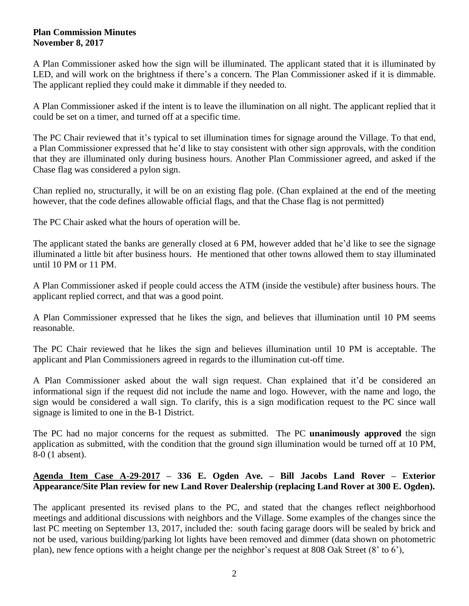#### **Plan Commission Minutes November 8, 2017**

A Plan Commissioner asked how the sign will be illuminated. The applicant stated that it is illuminated by LED, and will work on the brightness if there's a concern. The Plan Commissioner asked if it is dimmable. The applicant replied they could make it dimmable if they needed to.

A Plan Commissioner asked if the intent is to leave the illumination on all night. The applicant replied that it could be set on a timer, and turned off at a specific time.

The PC Chair reviewed that it's typical to set illumination times for signage around the Village. To that end, a Plan Commissioner expressed that he'd like to stay consistent with other sign approvals, with the condition that they are illuminated only during business hours. Another Plan Commissioner agreed, and asked if the Chase flag was considered a pylon sign.

Chan replied no, structurally, it will be on an existing flag pole. (Chan explained at the end of the meeting however, that the code defines allowable official flags, and that the Chase flag is not permitted)

The PC Chair asked what the hours of operation will be.

The applicant stated the banks are generally closed at 6 PM, however added that he'd like to see the signage illuminated a little bit after business hours. He mentioned that other towns allowed them to stay illuminated until 10 PM or 11 PM.

A Plan Commissioner asked if people could access the ATM (inside the vestibule) after business hours. The applicant replied correct, and that was a good point.

A Plan Commissioner expressed that he likes the sign, and believes that illumination until 10 PM seems reasonable.

The PC Chair reviewed that he likes the sign and believes illumination until 10 PM is acceptable. The applicant and Plan Commissioners agreed in regards to the illumination cut-off time.

A Plan Commissioner asked about the wall sign request. Chan explained that it'd be considered an informational sign if the request did not include the name and logo. However, with the name and logo, the sign would be considered a wall sign. To clarify, this is a sign modification request to the PC since wall signage is limited to one in the B-1 District.

The PC had no major concerns for the request as submitted. The PC **unanimously approved** the sign application as submitted, with the condition that the ground sign illumination would be turned off at 10 PM, 8-0 (1 absent).

## **Agenda Item Case A-29-2017 – 336 E. Ogden Ave. – Bill Jacobs Land Rover – Exterior Appearance/Site Plan review for new Land Rover Dealership (replacing Land Rover at 300 E. Ogden).**

The applicant presented its revised plans to the PC, and stated that the changes reflect neighborhood meetings and additional discussions with neighbors and the Village. Some examples of the changes since the last PC meeting on September 13, 2017, included the: south facing garage doors will be sealed by brick and not be used, various building/parking lot lights have been removed and dimmer (data shown on photometric plan), new fence options with a height change per the neighbor's request at 808 Oak Street (8' to 6'),